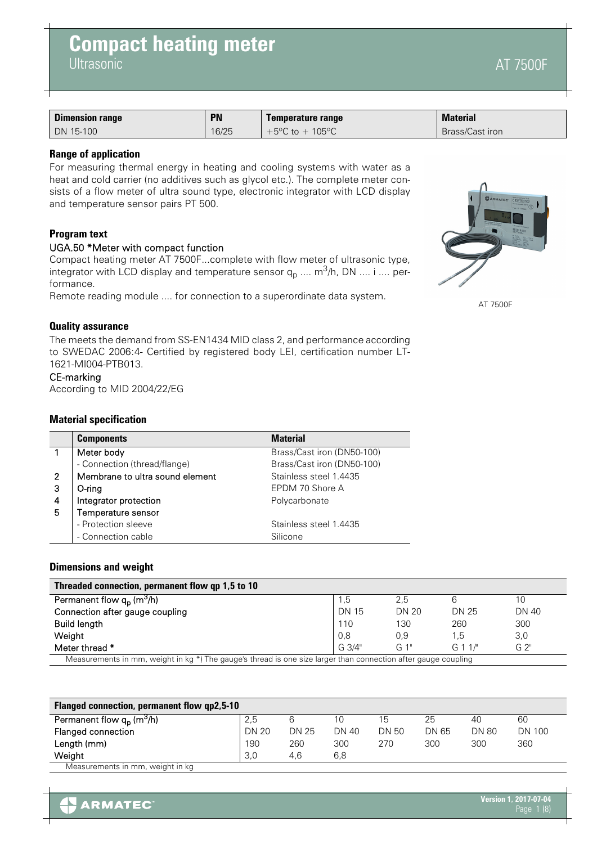| <b>Dimension range</b> | <b>PN</b> | Temperature range                     | <b>Material</b> |
|------------------------|-----------|---------------------------------------|-----------------|
| DN 15-100              | 16/25     | +5 $^{\circ}$ C to + 105 $^{\circ}$ C | Brass/Cast iron |

# **Range of application**

For measuring thermal energy in heating and cooling systems with water as a heat and cold carrier (no additives such as glycol etc.). The complete meter consists of a flow meter of ultra sound type, electronic integrator with LCD display and temperature sensor pairs PT 500.

# **Program text**

# UGA.50 \*Meter with compact function

Compact heating meter AT 7500F...complete with flow meter of ultrasonic type, integrator with LCD display and temperature sensor  $q_p$  ....  $m^3/h$ , DN .... i .... performance.

Remote reading module .... for connection to a superordinate data system.

# **Quality assurance**

The meets the demand from SS-EN1434 MID class 2, and performance according to SWEDAC 2006:4- Certified by registered body LEI, certification number LT-1621-MI004-PTB013.

# CE-marking

According to MID 2004/22/EG

### **Material specification**

|   | <b>Components</b>               | <b>Material</b>            |
|---|---------------------------------|----------------------------|
|   | Meter body                      | Brass/Cast iron (DN50-100) |
|   | - Connection (thread/flange)    | Brass/Cast iron (DN50-100) |
| 2 | Membrane to ultra sound element | Stainless steel 1.4435     |
| 3 | $O$ -ring                       | EPDM 70 Shore A            |
| 4 | Integrator protection           | Polycarbonate              |
| 5 | Temperature sensor              |                            |
|   | - Protection sleeve             | Stainless steel 1.4435     |
|   | - Connection cable              | Silicone                   |

### **Dimensions and weight**

| Threaded connection, permanent flow qp 1,5 to 10                                                                  |              |              |         |                |
|-------------------------------------------------------------------------------------------------------------------|--------------|--------------|---------|----------------|
| Permanent flow $q_p$ $\overline{\text{ (m3/h)}}$                                                                  | 1.5          | 2.5          |         | 10             |
| Connection after gauge coupling                                                                                   | <b>DN 15</b> | <b>DN 20</b> | DN 25   | <b>DN 40</b>   |
| <b>Build length</b>                                                                                               | 110          | 130          | 260     | 300            |
| Weight                                                                                                            | 0,8          | 0.9          | 1.5     | 3,0            |
| Meter thread *                                                                                                    | G.3/4"       | G 1"         | G 1 1/" | G <sub>2</sub> |
| Measurements in mm, weight in kg $*$ ) The gauge's thread is one size larger than connection after gauge coupling |              |              |         |                |

| <b>Flanged connection, permanent flow qp2,5-10</b> |              |       |       |              |       |              |               |
|----------------------------------------------------|--------------|-------|-------|--------------|-------|--------------|---------------|
| Permanent flow $q_p$ (m <sup>3</sup> /h)           | 2.5          |       | 10    | 15           | 25    | 40           | 60            |
| Flanged connection                                 | <b>DN 20</b> | DN 25 | DN 40 | <b>DN 50</b> | DN 65 | <b>DN 80</b> | <b>DN 100</b> |
| Length (mm)                                        | 190          | 260   | 300   | 270          | 300   | 300          | 360           |
| Weiaht                                             | 3.0          | 4.6   | 6,8   |              |       |              |               |
| Measurements in mm, weight in kg                   |              |       |       |              |       |              |               |



AT 7500F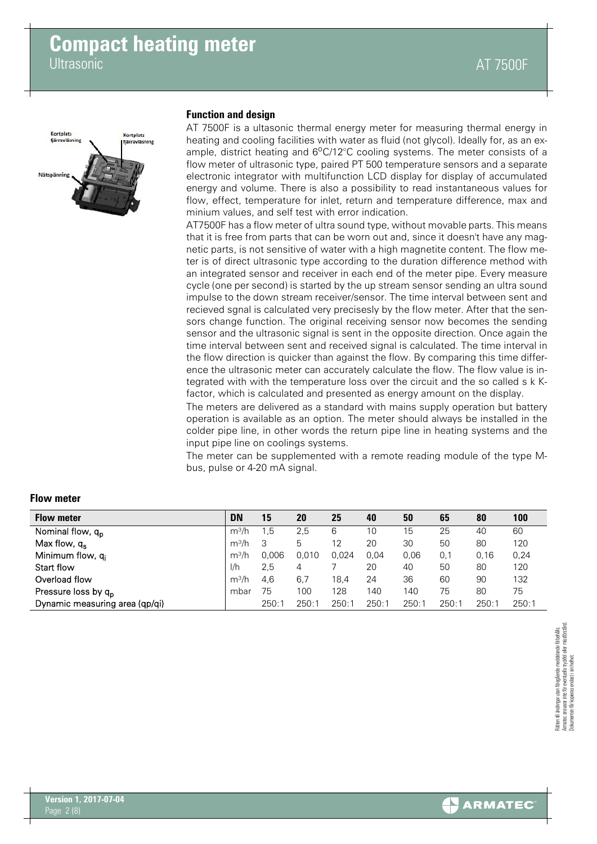

### **Function and design**

AT 7500F is a ultasonic thermal energy meter for measuring thermal energy in heating and cooling facilities with water as fluid (not glycol). Ideally for, as an example, district heating and  $6^{\circ}$ C/12 $^{\circ}$ C cooling systems. The meter consists of a flow meter of ultrasonic type, paired PT 500 temperature sensors and a separate electronic integrator with multifunction LCD display for display of accumulated energy and volume. There is also a possibility to read instantaneous values for flow, effect, temperature for inlet, return and temperature difference, max and minium values, and self test with error indication.

AT7500F has a flow meter of ultra sound type, without movable parts. This means that it is free from parts that can be worn out and, since it doesn't have any magnetic parts, is not sensitive of water with a high magnetite content. The flow meter is of direct ultrasonic type according to the duration difference method with an integrated sensor and receiver in each end of the meter pipe. Every measure cycle (one per second) is started by the up stream sensor sending an ultra sound impulse to the down stream receiver/sensor. The time interval between sent and recieved sgnal is calculated very precisesly by the flow meter. After that the sensors change function. The original receiving sensor now becomes the sending sensor and the ultrasonic signal is sent in the opposite direction. Once again the time interval between sent and received signal is calculated. The time interval in the flow direction is quicker than against the flow. By comparing this time difference the ultrasonic meter can accurately calculate the flow. The flow value is integrated with with the temperature loss over the circuit and the so called s k Kfactor, which is calculated and presented as energy amount on the display.

The meters are delivered as a standard with mains supply operation but battery operation is available as an option. The meter should always be installed in the colder pipe line, in other words the return pipe line in heating systems and the input pipe line on coolings systems.

The meter can be supplemented with a remote reading module of the type Mbus, pulse or 4-20 mA signal.

| <b>Flow meter</b>               | <b>DN</b> | 15    | 20    | 25    | 40    | 50    | 65   | 80    | 100   |
|---------------------------------|-----------|-------|-------|-------|-------|-------|------|-------|-------|
| Nominal flow, q <sub>p</sub>    | $m^3/h$   | 1.5   | 2.5   | 6     | 10    | 15    | 25   | 40    | 60    |
| Max flow, $q_s$                 | $m^3/h$   |       | 5     | 12    | 20    | 30    | 50   | 80    | 120   |
| Minimum flow, q <sub>i</sub>    | $m^3/h$   | 0.006 | 0.010 | 0.024 | 0.04  | 0.06  | 0,1  | 0.16  | 0,24  |
| Start flow                      | 1/h       | 2,5   | 4     |       | 20    | 40    | 50   | 80    | 120   |
| Overload flow                   | $m^3/h$   | 4.6   | 6.7   | 18.4  | 24    | 36    | 60   | 90    | 132   |
| Pressure loss by q <sub>p</sub> | mbar      | 75    | 100   | 128   | 140   | 140   | 75   | 80    | 75    |
| Dynamic measuring area (qp/qi)  |           | 250:  | 250:1 | 250:1 | 250:1 | 250:1 | 250: | 250:7 | 250:1 |

# **Flow meter**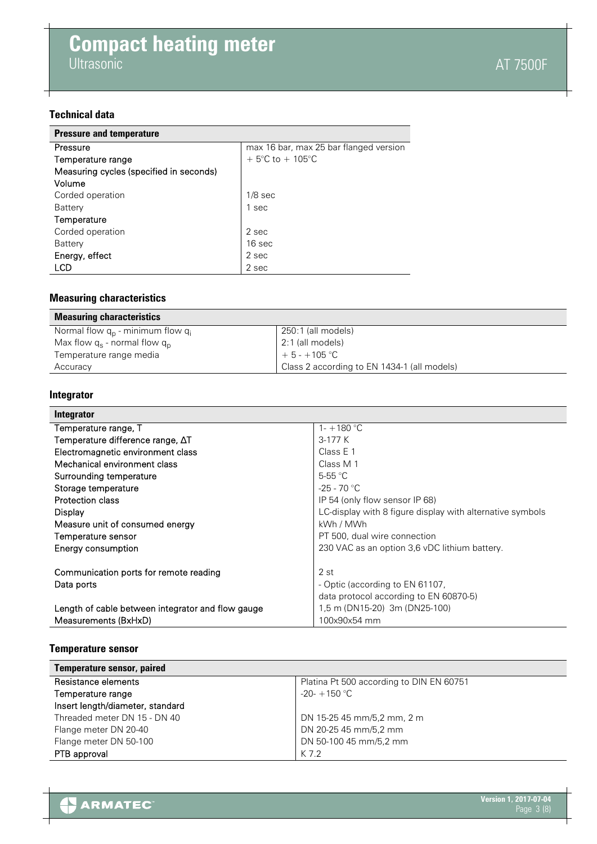# **Technical data**

| <b>Pressure and temperature</b>         |                                        |
|-----------------------------------------|----------------------------------------|
| Pressure                                | max 16 bar, max 25 bar flanged version |
| Temperature range                       | + 5°C to + 105°C                       |
| Measuring cycles (specified in seconds) |                                        |
| Volume                                  |                                        |
| Corded operation                        | $1/8$ sec                              |
| Battery                                 | 1 sec                                  |
| Temperature                             |                                        |
| Corded operation                        | 2 sec                                  |
| Battery                                 | 16 sec                                 |
| Energy, effect                          | 2 sec                                  |
| LCD                                     | 2 sec                                  |

# **Measuring characteristics**

| <b>Measuring characteristics</b>           |                                             |
|--------------------------------------------|---------------------------------------------|
| Normal flow $q_{p}$ - minimum flow $q_{i}$ | 250:1 (all models)                          |
| Max flow $q_s$ - normal flow $q_p$         | 2:1 (all models)                            |
| Temperature range media                    | $+5 - +105$ °C                              |
| Accuracy                                   | Class 2 according to EN 1434-1 (all models) |

# **Integrator**

| Integrator                                        |                                                           |
|---------------------------------------------------|-----------------------------------------------------------|
| Temperature range, T                              | 1- $+180$ °C                                              |
| Temperature difference range, $\Delta T$          | $3-177K$                                                  |
| Electromagnetic environment class                 | Class $E_1$                                               |
| Mechanical environment class                      | Class M 1                                                 |
| Surrounding temperature                           | $5-55$ °C                                                 |
| Storage temperature                               | $-25 - 70$ °C                                             |
| Protection class                                  | IP 54 (only flow sensor IP 68)                            |
| Display                                           | LC-display with 8 figure display with alternative symbols |
| Measure unit of consumed energy                   | kWh / MWh                                                 |
| Temperature sensor                                | PT 500, dual wire connection                              |
| Energy consumption                                | 230 VAC as an option 3,6 vDC lithium battery.             |
|                                                   |                                                           |
| Communication ports for remote reading            | 2 st                                                      |
| Data ports                                        | - Optic (according to EN 61107,                           |
|                                                   | data protocol according to EN 60870-5)                    |
| Length of cable between integrator and flow gauge | 1,5 m (DN15-20) 3m (DN25-100)                             |
| Measurements (BxHxD)                              | 100x90x54 mm                                              |

# **Temperature sensor**

| <b>Temperature sensor, paired</b> |                                          |
|-----------------------------------|------------------------------------------|
| Resistance elements               | Platina Pt 500 according to DIN EN 60751 |
| Temperature range                 | $-20-+150$ °C                            |
| Insert length/diameter, standard  |                                          |
| Threaded meter DN 15 - DN 40      | DN 15-25 45 mm/5,2 mm, 2 m               |
| Flange meter DN 20-40             | DN 20-25 45 mm/5,2 mm                    |
| Flange meter DN 50-100            | DN 50-100 45 mm/5,2 mm                   |
| PTB approval                      | K 7.2                                    |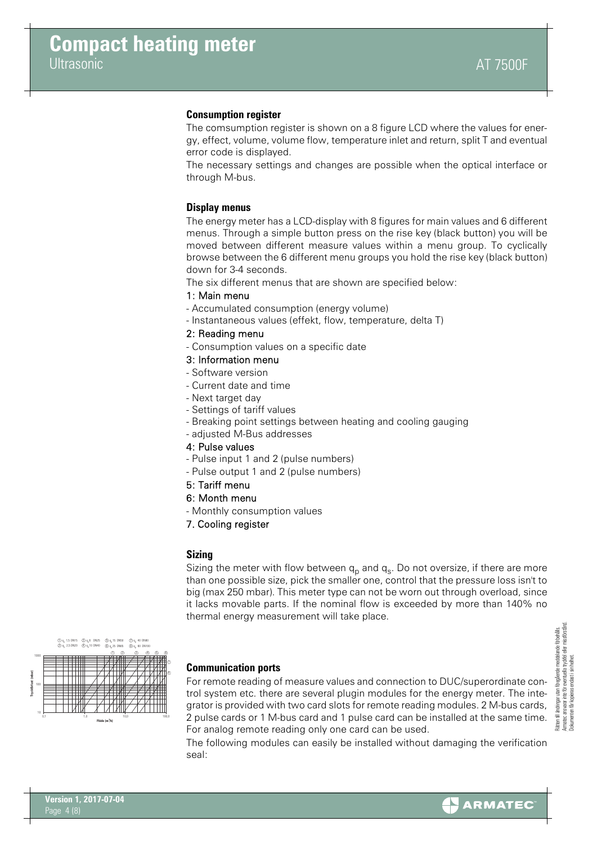### **Consumption register**

The comsumption register is shown on a 8 figure LCD where the values for energy, effect, volume, volume flow, temperature inlet and return, split T and eventual error code is displayed.

The necessary settings and changes are possible when the optical interface or through M-bus.

### **Display menus**

The energy meter has a LCD-display with 8 figures for main values and 6 different menus. Through a simple button press on the rise key (black button) you will be moved between different measure values within a menu group. To cyclically browse between the 6 different menu groups you hold the rise key (black button) down for 3-4 seconds.

The six different menus that are shown are specified below:

### 1: Main menu

- Accumulated consumption (energy volume)
- Instantaneous values (effekt, flow, temperature, delta T)

### 2: Reading menu

- Consumption values on a specific date

### 3: Information menu

- Software version
- Current date and time
- Next target day
- Settings of tariff values
- Breaking point settings between heating and cooling gauging
- adjusted M-Bus addresses
- 4: Pulse values
- Pulse input 1 and 2 (pulse numbers)
- Pulse output 1 and 2 (pulse numbers)
- 5: Tariff menu
- 6: Month menu
- Monthly consumption values
- 7. Cooling register

### **Sizing**

Sizing the meter with flow between  $q_p$  and  $q_s$ . Do not oversize, if there are more than one possible size, pick the smaller one, control that the pressure loss isn't to big (max 250 mbar). This meter type can not be worn out through overload, since it lacks movable parts. If the nominal flow is exceeded by more than 140% no thermal energy measurement will take place.



# **Communication ports**

For remote reading of measure values and connection to DUC/superordinate control system etc. there are several plugin modules for the energy meter. The integrator is provided with two card slots for remote reading modules. 2 M-bus cards, 2 pulse cards or 1 M-bus card and 1 pulse card can be installed at the same time. For analog remote reading only one card can be used.

The following modules can easily be installed without damaging the verification seal:

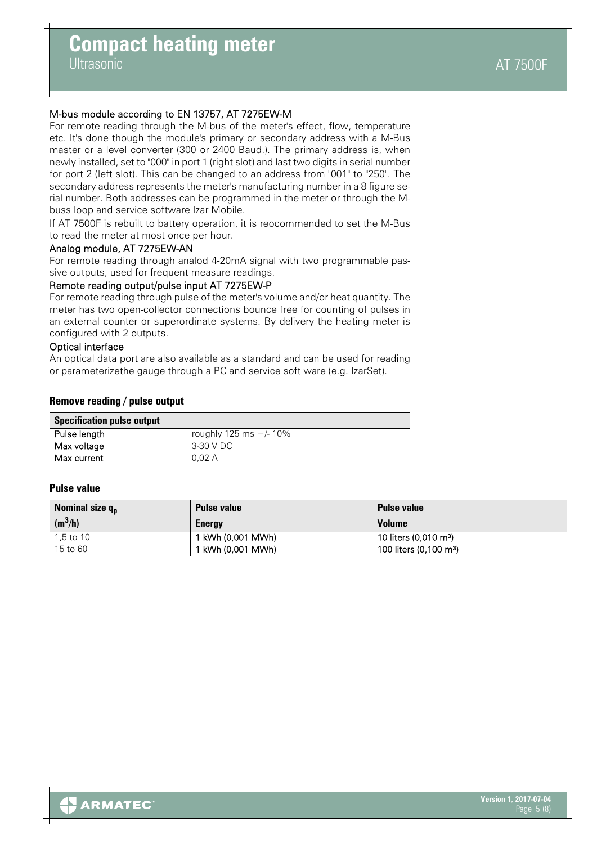# **Compact heating meter**

**Ultrasonic** 

# M-bus module according to EN 13757, AT 7275EW-M

For remote reading through the M-bus of the meter's effect, flow, temperature etc. It's done though the module's primary or secondary address with a M-Bus master or a level converter (300 or 2400 Baud.). The primary address is, when newly installed, set to "000" in port 1 (right slot) and last two digits in serial number for port 2 (left slot). This can be changed to an address from "001" to "250". The secondary address represents the meter's manufacturing number in a 8 figure serial number. Both addresses can be programmed in the meter or through the Mbuss loop and service software Izar Mobile.

If AT 7500F is rebuilt to battery operation, it is reocommended to set the M-Bus to read the meter at most once per hour.

# Analog module, AT 7275EW-AN

For remote reading through analod 4-20mA signal with two programmable passive outputs, used for frequent measure readings.

### Remote reading output/pulse input AT 7275EW-P

For remote reading through pulse of the meter's volume and/or heat quantity. The meter has two open-collector connections bounce free for counting of pulses in an external counter or superordinate systems. By delivery the heating meter is configured with 2 outputs.

### Optical interface

An optical data port are also available as a standard and can be used for reading or parameterizethe gauge through a PC and service soft ware (e.g. IzarSet).

### **Remove reading / pulse output**

| opechication puise output |                           |
|---------------------------|---------------------------|
| Pulse length              | roughly 125 ms $+/- 10\%$ |
| Max voltage               | 3-30 V DC                 |
| Max current               | 0.02 A                    |

# **Pulse value**

| Nominal size $q_{n}$ | <b>Pulse value</b> | <b>Pulse value</b>                 |
|----------------------|--------------------|------------------------------------|
| $(m^3/h)$            | <b>Energy</b>      | <b>Volume</b>                      |
| $1.5$ to $10$        | 1 kWh (0,001 MWh)  | 10 liters (0,010 m <sup>3</sup> )  |
| 15 to 60             | l kWh (0.001 MWh)  | 100 liters (0.100 m <sup>3</sup> ) |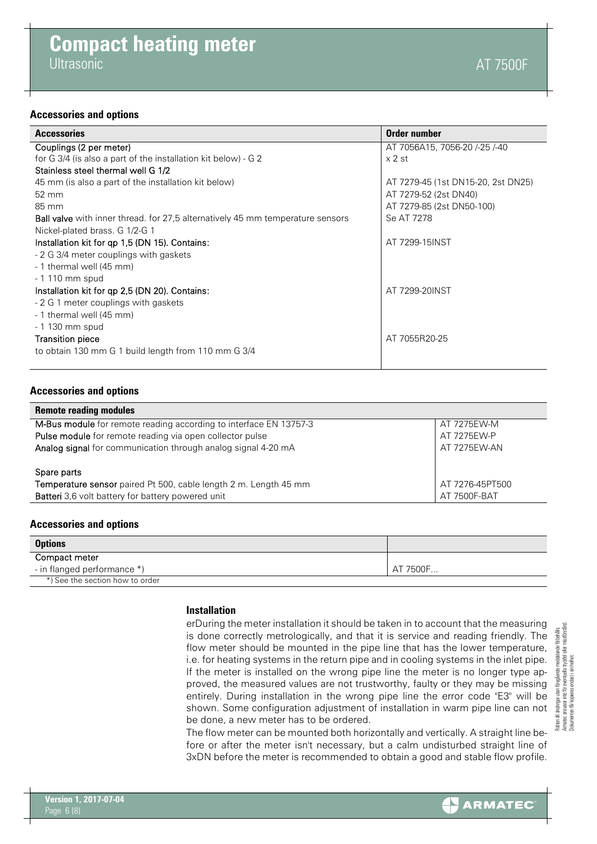### **Accessories and options**

| <b>Accessories</b>                                                                    | Order number                       |
|---------------------------------------------------------------------------------------|------------------------------------|
| Couplings (2 per meter)                                                               | AT 7056A15, 7056-20 /-25 /-40      |
| for G 3/4 (is also a part of the installation kit below) - G 2                        | $\times$ 2 st                      |
| Stainless steel thermal well G 1/2                                                    |                                    |
| 45 mm (is also a part of the installation kit below)                                  | AT 7279-45 (1st DN15-20, 2st DN25) |
| 52 mm                                                                                 | AT 7279-52 (2st DN40)              |
| 85 mm                                                                                 | AT 7279-85 (2st DN50-100)          |
| <b>Ball valve</b> with inner thread. for 27,5 alternatively 45 mm temperature sensors | Se AT 7278                         |
| Nickel-plated brass. G 1/2-G 1                                                        |                                    |
| Installation kit for qp 1,5 (DN 15). Contains:                                        | AT 7299-15INST                     |
| - 2 G 3/4 meter couplings with gaskets                                                |                                    |
| - 1 thermal well (45 mm)                                                              |                                    |
| - 1 110 mm spud                                                                       |                                    |
| Installation kit for qp 2,5 (DN 20). Contains:                                        | AT 7299-20INST                     |
| - 2 G 1 meter couplings with gaskets                                                  |                                    |
| - 1 thermal well (45 mm)                                                              |                                    |
| - 1 130 mm spud                                                                       |                                    |
| <b>Transition piece</b>                                                               | AT 7055R20-25                      |
| to obtain 130 mm G 1 build length from 110 mm G 3/4                                   |                                    |
|                                                                                       |                                    |

### **Accessories and options**

| <b>Remote reading modules</b>                                           |                 |
|-------------------------------------------------------------------------|-----------------|
| M-Bus module for remote reading according to interface EN 13757-3       | AT 7275EW-M     |
| Pulse module for remote reading via open collector pulse                | AT 7275EW-P     |
| Analog signal for communication through analog signal 4-20 mA           | AT 7275EW-AN    |
|                                                                         |                 |
| Spare parts                                                             |                 |
| <b>Temperature sensor</b> paired Pt 500, cable length 2 m. Length 45 mm | AT 7276-45PT500 |
| Batteri 3,6 volt battery for battery powered unit                       | AT 7500F-BAT    |
|                                                                         |                 |

### **Accessories and options**

| <b>Options</b>                  |          |
|---------------------------------|----------|
| Compact meter                   |          |
| - in flanged performance *)     | AT 7500F |
| *) See the section how to order |          |

### **Installation**

erDuring the meter installation it should be taken in to account that the measuring is done correctly metrologically, and that it is service and reading friendly. The flow meter should be mounted in the pipe line that has the lower temperature, i.e. for heating systems in the return pipe and in cooling systems in the inlet pipe. If the meter is installed on the wrong pipe line the meter is no longer type approved, the measured values are not trustworthy, faulty or they may be missing entirely. During installation in the wrong pipe line the error code "E3" will be shown. Some configuration adjustment of installation in warm pipe line can not be done, a new meter has to be ordered.

The flow meter can be mounted both horizontally and vertically. A straight line before or after the meter isn't necessary, but a calm undisturbed straight line of 3xDN before the meter is recommended to obtain a good and stable flow profile.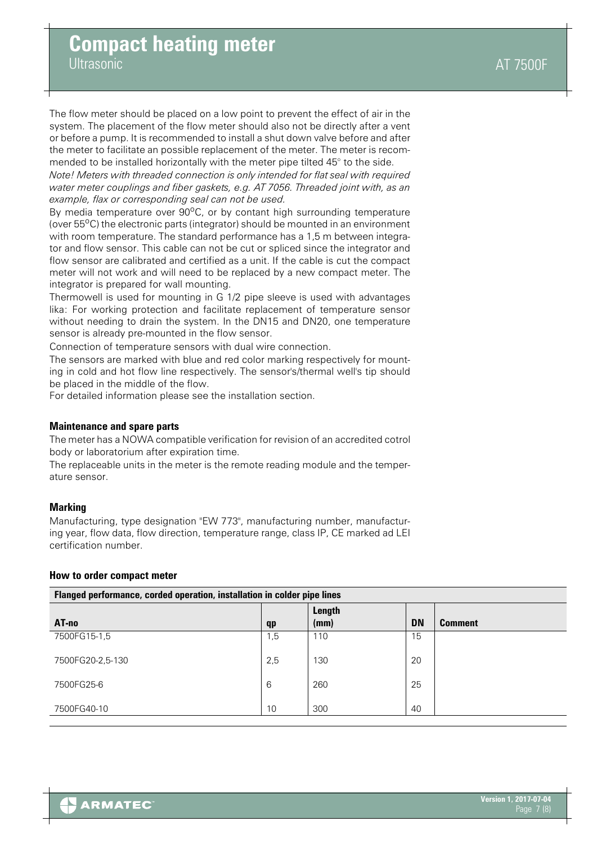**Ultrasonic** 

The flow meter should be placed on a low point to prevent the effect of air in the system. The placement of the flow meter should also not be directly after a vent or before a pump. It is recommended to install a shut down valve before and after the meter to facilitate an possible replacement of the meter. The meter is recommended to be installed horizontally with the meter pipe tilted 45° to the side.

*Note! Meters with threaded connection is only intended for flat seal with required water meter couplings and fiber gaskets, e.g. AT 7056. Threaded joint with, as an example, flax or corresponding seal can not be used.*

By media temperature over 90°C, or by contant high surrounding temperature (over  $55^{\circ}$ C) the electronic parts (integrator) should be mounted in an environment with room temperature. The standard performance has a 1,5 m between integrator and flow sensor. This cable can not be cut or spliced since the integrator and flow sensor are calibrated and certified as a unit. If the cable is cut the compact meter will not work and will need to be replaced by a new compact meter. The integrator is prepared for wall mounting.

Thermowell is used for mounting in G 1/2 pipe sleeve is used with advantages lika: For working protection and facilitate replacement of temperature sensor without needing to drain the system. In the DN15 and DN20, one temperature sensor is already pre-mounted in the flow sensor.

Connection of temperature sensors with dual wire connection.

The sensors are marked with blue and red color marking respectively for mounting in cold and hot flow line respectively. The sensor's/thermal well's tip should be placed in the middle of the flow.

For detailed information please see the installation section.

### **Maintenance and spare parts**

The meter has a NOWA compatible verification for revision of an accredited cotrol body or laboratorium after expiration time.

The replaceable units in the meter is the remote reading module and the temperature sensor.

### **Marking**

Manufacturing, type designation "EW 773", manufacturing number, manufacturing year, flow data, flow direction, temperature range, class IP, CE marked ad LEI certification number.

#### **How to order compact meter**

| Flanged performance, corded operation, installation in colder pipe lines |     |                |           |                |
|--------------------------------------------------------------------------|-----|----------------|-----------|----------------|
| AT-no                                                                    | qp  | Length<br>(mm) | <b>DN</b> | <b>Comment</b> |
| 7500FG15-1,5                                                             | 1,5 | 110            | 15        |                |
| 7500FG20-2,5-130                                                         | 2,5 | 130            | 20        |                |
| 7500FG25-6                                                               | 6   | 260            | 25        |                |
| 7500FG40-10                                                              | 10  | 300            | 40        |                |